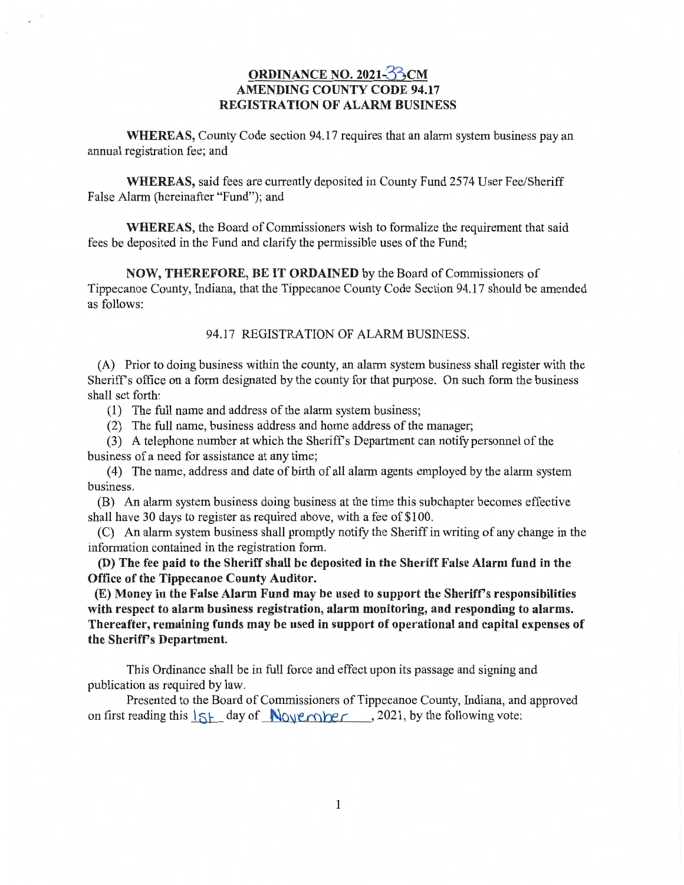## **ORDINANCE** NO. **202135CM AMENDING COUNTY CODE 94.17 REGISTRATION** OF **ALARM BUSINESS**

**WHEREAS,** County Code section 94.17 requires that an **alarm** system **business** pay an annual registration fee; and

**WHEREAS,** said fees are currently deposited in County Fund **2574** User Fee/Sheriff False **Alarm** (hereinafter **"Fund");** and

**WHEREAS,** the Board of **Commissioners** wish to formalize the requirement **that** said fees be deposited in the Fund and clarify the permissible uses of the Fund;

**NOW, THEREFORE,** BE IT **ORDAINED** by the Board of **Commissioners** of Tippecanoe **County, Indiana, that** the Tippecanoe County **Code** Section 94.17 **should** be amended as follows:

## 94.17 REGISTRATION OF **ALARM** BUSINESS.

(A) Prior to doing **business** within the county, an alarm system **business shall** register **with** the Sheriff's office on a form **designated** by the county for **that** purpose. On such form the business **shall** set forth:

(1) The fi111 **name** and address of the alarm **system business;** 

(2) The full name, **business** address and **home** address of the manager;

(3) A telephone number at which the Sheriff's Department can notify personnel of the business of a need for **assistance** at any time;

(4) The **name,** address and date of birth of all alarm agents employed by the alarm system business.

(B) An alarm system **business** doing business at the **time this** subchapter **becomes** effective shall have 30 days to register as required above, with a fee of \$100.

(C) An alarm system business shall promptly notify the Sheriff in writing of any change in the information contained in the registration form.

(D) The fee **paid** to the **Sheriff shall** be **deposited** in the **Sheriff False Alarm fund** in the **Office** of the **Tippecanoe County Auditor.** 

(E) **Money** in the **False Alarm Fund** may be **used** to **support** the **Sheriff's responsibilities with respect** to **alarm business registration, alarm monitoring,** and **responding** to **alarms. Thereafter, remaining** funds may be **used** in **support** of **operational** and **capital expenses** of the **Sheriff's Department.** 

**This** Ordinance **shall** be in full force and effect upon its passage and **signing** and publication as required by law.

Presented to the Board of Commissioners of Tippecanoe County, **Indiana,** and approved on first reading this  $\frac{1}{5}$  day of *N*<sub>O</sub>  $\frac{1}{2}$  *N*<sub>O</sub>  $\frac{1}{2}$  *c ,* 2021, by the following vote: